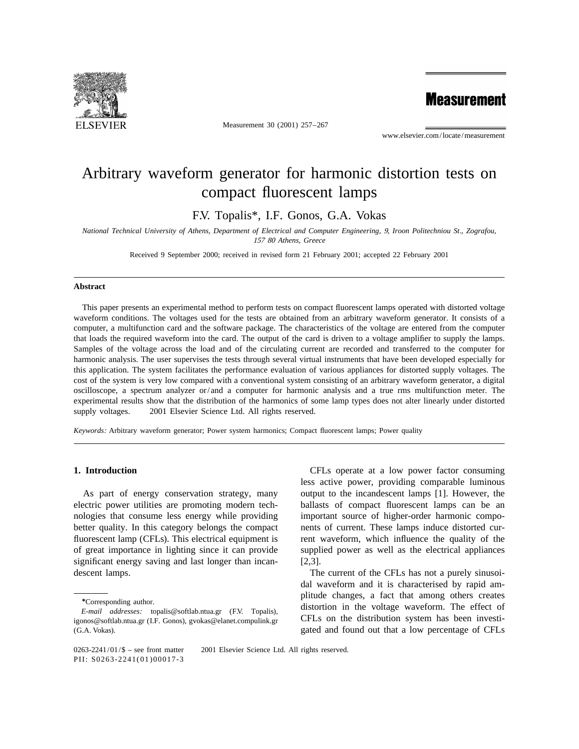

Measurement 30 (2001) 257–267

**Measurement** 

www.elsevier.com/locate/measurement

# Arbitrary waveform generator for harmonic distortion tests on compact fluorescent lamps

F.V. Topalis\*, I.F. Gonos, G.A. Vokas

*National Technical University of Athens*, *Department of Electrical and Computer Engineering*, 9, *Iroon Politechniou St*., *Zografou*, <sup>157</sup> <sup>80</sup> *Athens*, *Greece*

Received 9 September 2000; received in revised form 21 February 2001; accepted 22 February 2001

### **Abstract**

This paper presents an experimental method to perform tests on compact fluorescent lamps operated with distorted voltage waveform conditions. The voltages used for the tests are obtained from an arbitrary waveform generator. It consists of a computer, a multifunction card and the software package. The characteristics of the voltage are entered from the computer that loads the required waveform into the card. The output of the card is driven to a voltage amplifier to supply the lamps. Samples of the voltage across the load and of the circulating current are recorded and transferred to the computer for harmonic analysis. The user supervises the tests through several virtual instruments that have been developed especially for this application. The system facilitates the performance evaluation of various appliances for distorted supply voltages. The cost of the system is very low compared with a conventional system consisting of an arbitrary waveform generator, a digital oscilloscope, a spectrum analyzer or/and a computer for harmonic analysis and a true rms multifunction meter. The experimental results show that the distribution of the harmonics of some lamp types does not alter linearly under distorted supply voltages.  $\oslash$  2001 Elsevier Science Ltd. All rights reserved.

*Keywords*: Arbitrary waveform generator; Power system harmonics; Compact fluorescent lamps; Power quality

electric power utilities are promoting modern tech- ballasts of compact fluorescent lamps can be an nologies that consume less energy while providing important source of higher-order harmonic compobetter quality. In this category belongs the compact nents of current. These lamps induce distorted curfluorescent lamp (CFLs). This electrical equipment is rent waveform, which influence the quality of the of great importance in lighting since it can provide supplied power as well as the electrical appliances significant energy saving and last longer than incan- [2,3]. descent lamps. The current of the CFLs has not a purely sinusoi-

**1. Introduction 1. Introduction CFLs** operate at a low power factor consuming less active power, providing comparable luminous As part of energy conservation strategy, many output to the incandescent lamps [1]. However, the

dal waveform and it is characterised by rapid amplitude changes, a fact that among others creates *\**Corresponding author. distortion in the voltage waveform. The effect of *<sup>E</sup>*-*mail addresses*: topalis@softlab.ntua.gr (F.V. Topalis), CFLs on the distribution system has been investi- igonos@softlab.ntua.gr (I.F. Gonos), gvokas@elanet.compulink.gr (G.A. Vokas). gated and found out that a low percentage of CFLs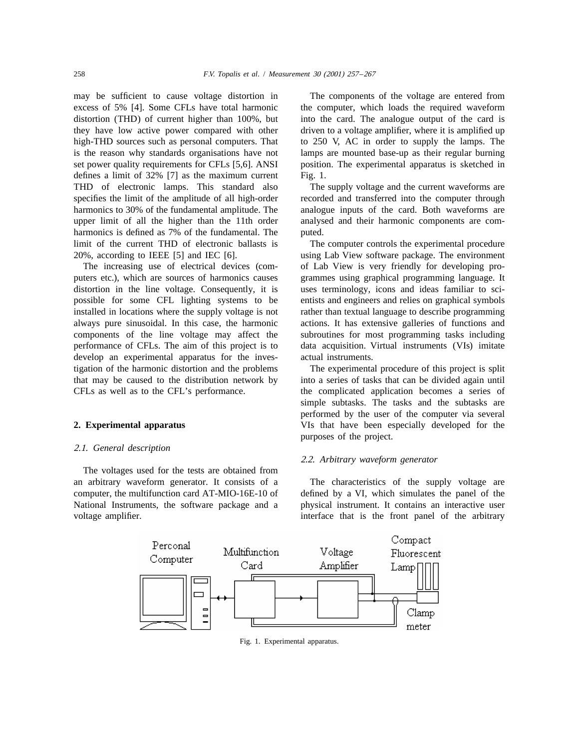may be sufficient to cause voltage distortion in The components of the voltage are entered from excess of 5% [4]. Some CFLs have total harmonic the computer, which loads the required waveform distortion (THD) of current higher than 100%, but into the card. The analogue output of the card is they have low active power compared with other driven to a voltage amplifier, where it is amplified up high-THD sources such as personal computers. That to 250 V, AC in order to supply the lamps. The is the reason why standards organisations have not lamps are mounted base-up as their regular burning set power quality requirements for CFLs [5,6]. ANSI position. The experimental apparatus is sketched in defines a limit of  $32\%$  [7] as the maximum current Fig. 1. THD of electronic lamps. This standard also The supply voltage and the current waveforms are specifies the limit of the amplitude of all high-order recorded and transferred into the computer through harmonics to 30% of the fundamental amplitude. The analogue inputs of the card. Both waveforms are upper limit of all the higher than the 11th order analysed and their harmonic components are comharmonics is defined as 7% of the fundamental. The puted. limit of the current THD of electronic ballasts is The computer controls the experimental procedure 20%, according to IEEE [5] and IEC [6]. using Lab View software package. The environment

puters etc.), which are sources of harmonics causes grammes using graphical programming language. It distortion in the line voltage. Consequently, it is uses terminology, icons and ideas familiar to scipossible for some CFL lighting systems to be entists and engineers and relies on graphical symbols installed in locations where the supply voltage is not rather than textual language to describe programming always pure sinusoidal. In this case, the harmonic actions. It has extensive galleries of functions and components of the line voltage may affect the subroutines for most programming tasks including performance of CFLs. The aim of this project is to data acquisition. Virtual instruments (VIs) imitate develop an experimental apparatus for the inves- actual instruments. tigation of the harmonic distortion and the problems The experimental procedure of this project is split that may be caused to the distribution network by into a series of tasks that can be divided again until CFLs as well as to the CFL's performance. the complicated application becomes a series of

### 2.1. *General description*

The voltages used for the tests are obtained from an arbitrary waveform generator. It consists of a The characteristics of the supply voltage are

The increasing use of electrical devices (com- of Lab View is very friendly for developing pro-

simple subtasks. The tasks and the subtasks are performed by the user of the computer via several **2. Experimental apparatus** VIs that have been especially developed for the purposes of the project.

### 2.2. *Arbitrary waveform generator*

computer, the multifunction card AT-MIO-16E-10 of defined by a VI, which simulates the panel of the National Instruments, the software package and a physical instrument. It contains an interactive user voltage amplifier. interface that is the front panel of the arbitrary



Fig. 1. Experimental apparatus.